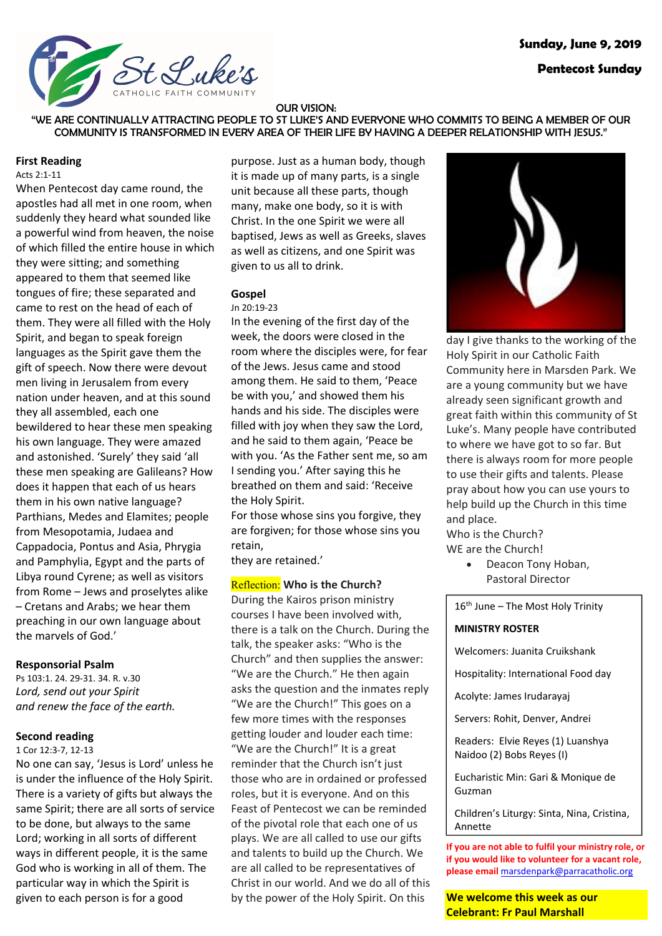

## **Pentecost Sunday**

#### OUR VISION:

"WE ARE CONTINUALLY ATTRACTING PEOPLE TO ST LUKE'S AND EVERYONE WHO COMMITS TO BEING A MEMBER OF OUR COMMUNITY IS TRANSFORMED IN EVERY AREA OF THEIR LIFE BY HAVING A DEEPER RELATIONSHIP WITH JESUS."

### **First Reading**

#### Acts 2:1-11

When Pentecost day came round, the apostles had all met in one room, when suddenly they heard what sounded like a powerful wind from heaven, the noise of which filled the entire house in which they were sitting; and something appeared to them that seemed like tongues of fire; these separated and came to rest on the head of each of them. They were all filled with the Holy Spirit, and began to speak foreign languages as the Spirit gave them the gift of speech. Now there were devout men living in Jerusalem from every nation under heaven, and at this sound they all assembled, each one bewildered to hear these men speaking his own language. They were amazed and astonished. 'Surely' they said 'all these men speaking are Galileans? How does it happen that each of us hears them in his own native language? Parthians, Medes and Elamites; people from Mesopotamia, Judaea and Cappadocia, Pontus and Asia, Phrygia and Pamphylia, Egypt and the parts of Libya round Cyrene; as well as visitors from Rome – Jews and proselytes alike – Cretans and Arabs; we hear them preaching in our own language about the marvels of God.'

#### **Responsorial Psalm**

Ps 103:1. 24. 29-31. 34. R. v.30 *Lord, send out your Spirit and renew the face of the earth.*

## **Second reading**

1 Cor 12:3-7, 12-13

No one can say, 'Jesus is Lord' unless he is under the influence of the Holy Spirit. There is a variety of gifts but always the same Spirit; there are all sorts of service to be done, but always to the same Lord; working in all sorts of different ways in different people, it is the same God who is working in all of them. The particular way in which the Spirit is given to each person is for a good

purpose. Just as a human body, though it is made up of many parts, is a single unit because all these parts, though many, make one body, so it is with Christ. In the one Spirit we were all baptised, Jews as well as Greeks, slaves as well as citizens, and one Spirit was given to us all to drink.

# **Gospel**

Jn 20:19-23 In the evening of the first day of the week, the doors were closed in the room where the disciples were, for fear of the Jews. Jesus came and stood among them. He said to them, 'Peace be with you,' and showed them his hands and his side. The disciples were filled with joy when they saw the Lord, and he said to them again, 'Peace be with you. 'As the Father sent me, so am I sending you.' After saying this he breathed on them and said: 'Receive the Holy Spirit.

For those whose sins you forgive, they are forgiven; for those whose sins you retain,

they are retained.'

## Reflection: **Who is the Church?**

During the Kairos prison ministry courses I have been involved with, there is a talk on the Church. During the talk, the speaker asks: "Who is the Church" and then supplies the answer: "We are the Church." He then again asks the question and the inmates reply "We are the Church!" This goes on a few more times with the responses getting louder and louder each time: "We are the Church!" It is a great reminder that the Church isn't just those who are in ordained or professed roles, but it is everyone. And on this Feast of Pentecost we can be reminded of the pivotal role that each one of us plays. We are all called to use our gifts and talents to build up the Church. We are all called to be representatives of Christ in our world. And we do all of this by the power of the Holy Spirit. On this



day I give thanks to the working of the Holy Spirit in our Catholic Faith Community here in Marsden Park. We are a young community but we have already seen significant growth and great faith within this community of St Luke's. Many people have contributed to where we have got to so far. But there is always room for more people to use their gifts and talents. Please pray about how you can use yours to help build up the Church in this time and place.

Who is the Church? WE are the Church!

> • Deacon Tony Hoban, Pastoral Director

 $16<sup>th</sup>$  June – The Most Holy Trinity

#### **MINISTRY ROSTER**

Welcomers: Juanita Cruikshank

Hospitality: International Food day

Acolyte: James Irudarayaj

Servers: Rohit, Denver, Andrei

Readers: Elvie Reyes (1) Luanshya Naidoo (2) Bobs Reyes (I)

Eucharistic Min: Gari & Monique de Guzman

Children's Liturgy: Sinta, Nina, Cristina, Annette

**If you are not able to fulfil your ministry role, or if you would like to volunteer for a vacant role, please email** marsdenpark@parracatholic.org

**We welcome this week as our Celebrant: Fr Paul Marshall**